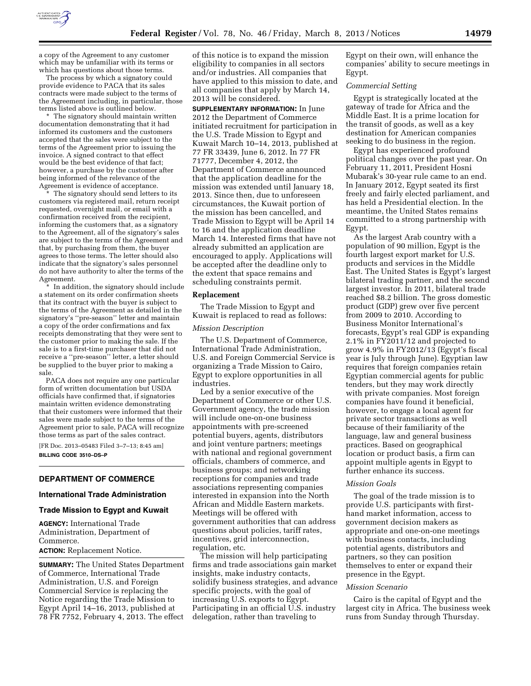

a copy of the Agreement to any customer which may be unfamiliar with its terms or which has questions about those terms.

The process by which a signatory could provide evidence to PACA that its sales contracts were made subject to the terms of the Agreement including, in particular, those terms listed above is outlined below.

\* The signatory should maintain written documentation demonstrating that it had informed its customers and the customers accepted that the sales were subject to the terms of the Agreement prior to issuing the invoice. A signed contract to that effect would be the best evidence of that fact; however, a purchase by the customer after being informed of the relevance of the Agreement is evidence of acceptance.

The signatory should send letters to its customers via registered mail, return receipt requested, overnight mail, or email with a confirmation received from the recipient, informing the customers that, as a signatory to the Agreement, all of the signatory's sales are subject to the terms of the Agreement and that, by purchasing from them, the buyer agrees to those terms. The letter should also indicate that the signatory's sales personnel do not have authority to alter the terms of the Agreement.

In addition, the signatory should include a statement on its order confirmation sheets that its contract with the buyer is subject to the terms of the Agreement as detailed in the signatory's ''pre-season'' letter and maintain a copy of the order confirmations and fax receipts demonstrating that they were sent to the customer prior to making the sale. If the sale is to a first-time purchaser that did not receive a ''pre-season'' letter, a letter should be supplied to the buyer prior to making a sale.

PACA does not require any one particular form of written documentation but USDA officials have confirmed that, if signatories maintain written evidence demonstrating that their customers were informed that their sales were made subject to the terms of the Agreement prior to sale, PACA will recognize those terms as part of the sales contract.

[FR Doc. 2013–05483 Filed 3–7–13; 8:45 am] **BILLING CODE 3510–DS–P** 

## **DEPARTMENT OF COMMERCE**

## **International Trade Administration**

## **Trade Mission to Egypt and Kuwait**

**AGENCY:** International Trade Administration, Department of Commerce. **ACTION:** Replacement Notice.

**SUMMARY:** The United States Department of Commerce, International Trade Administration, U.S. and Foreign Commercial Service is replacing the Notice regarding the Trade Mission to Egypt April 14–16, 2013, published at 78 FR 7752, February 4, 2013. The effect

of this notice is to expand the mission eligibility to companies in all sectors and/or industries. All companies that have applied to this mission to date, and all companies that apply by March 14, 2013 will be considered.

**SUPPLEMENTARY INFORMATION:** In June 2012 the Department of Commerce initiated recruitment for participation in the U.S. Trade Mission to Egypt and Kuwait March 10–14, 2013, published at 77 FR 33439, June 6, 2012. In 77 FR 71777, December 4, 2012, the Department of Commerce announced that the application deadline for the mission was extended until January 18, 2013. Since then, due to unforeseen circumstances, the Kuwait portion of the mission has been cancelled, and Trade Mission to Egypt will be April 14 to 16 and the application deadline March 14. Interested firms that have not already submitted an application are encouraged to apply. Applications will be accepted after the deadline only to the extent that space remains and scheduling constraints permit.

## **Replacement**

The Trade Mission to Egypt and Kuwait is replaced to read as follows:

#### *Mission Description*

The U.S. Department of Commerce, International Trade Administration, U.S. and Foreign Commercial Service is organizing a Trade Mission to Cairo, Egypt to explore opportunities in all industries.

Led by a senior executive of the Department of Commerce or other U.S. Government agency, the trade mission will include one-on-one business appointments with pre-screened potential buyers, agents, distributors and joint venture partners; meetings with national and regional government officials, chambers of commerce, and business groups; and networking receptions for companies and trade associations representing companies interested in expansion into the North African and Middle Eastern markets. Meetings will be offered with government authorities that can address questions about policies, tariff rates, incentives, grid interconnection, regulation, etc.

The mission will help participating firms and trade associations gain market insights, make industry contacts, solidify business strategies, and advance specific projects, with the goal of increasing U.S. exports to Egypt. Participating in an official U.S. industry delegation, rather than traveling to

Egypt on their own, will enhance the companies' ability to secure meetings in Egypt.

#### *Commercial Setting*

Egypt is strategically located at the gateway of trade for Africa and the Middle East. It is a prime location for the transit of goods, as well as a key destination for American companies seeking to do business in the region.

Egypt has experienced profound political changes over the past year. On February 11, 2011, President Hosni Mubarak's 30-year rule came to an end. In January 2012, Egypt seated its first freely and fairly elected parliament, and has held a Presidential election. In the meantime, the United States remains committed to a strong partnership with Egypt.

As the largest Arab country with a population of 90 million, Egypt is the fourth largest export market for U.S. products and services in the Middle East. The United States is Egypt's largest bilateral trading partner, and the second largest investor. In 2011, bilateral trade reached \$8.2 billion. The gross domestic product (GDP) grew over five percent from 2009 to 2010. According to Business Monitor International's forecasts, Egypt's real GDP is expanding 2.1% in FY2011/12 and projected to grow 4.9% in FY2012/13 (Egypt's fiscal year is July through June). Egyptian law requires that foreign companies retain Egyptian commercial agents for public tenders, but they may work directly with private companies. Most foreign companies have found it beneficial, however, to engage a local agent for private sector transactions as well because of their familiarity of the language, law and general business practices. Based on geographical location or product basis, a firm can appoint multiple agents in Egypt to further enhance its success.

#### *Mission Goals*

The goal of the trade mission is to provide U.S. participants with firsthand market information, access to government decision makers as appropriate and one-on-one meetings with business contacts, including potential agents, distributors and partners, so they can position themselves to enter or expand their presence in the Egypt.

## *Mission Scenario*

Cairo is the capital of Egypt and the largest city in Africa. The business week runs from Sunday through Thursday.